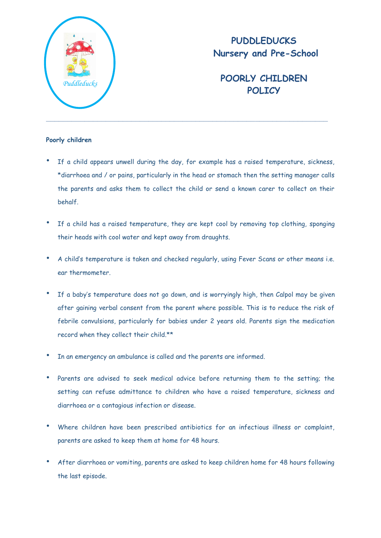

# **PUDDLEDUCKS Nursery and Pre-School**

# **POORLY CHILDREN POLICY**

### **Poorly children**

- If a child appears unwell during the day, for example has a raised temperature, sickness, \*diarrhoea and / or pains, particularly in the head or stomach then the setting manager calls the parents and asks them to collect the child or send a known carer to collect on their behalf.
- If a child has a raised temperature, they are kept cool by removing top clothing, sponging their heads with cool water and kept away from draughts.
- A child's temperature is taken and checked regularly, using Fever Scans or other means i.e. ear thermometer.
- If a baby's temperature does not go down, and is worryingly high, then Calpol may be given after gaining verbal consent from the parent where possible. This is to reduce the risk of febrile convulsions, particularly for babies under 2 years old. Parents sign the medication record when they collect their child.\*\*
- In an emergency an ambulance is called and the parents are informed.
- Parents are advised to seek medical advice before returning them to the setting; the setting can refuse admittance to children who have a raised temperature, sickness and diarrhoea or a contagious infection or disease.
- Where children have been prescribed antibiotics for an infectious illness or complaint, parents are asked to keep them at home for 48 hours.
- After diarrhoea or vomiting, parents are asked to keep children home for 48 hours following the last episode.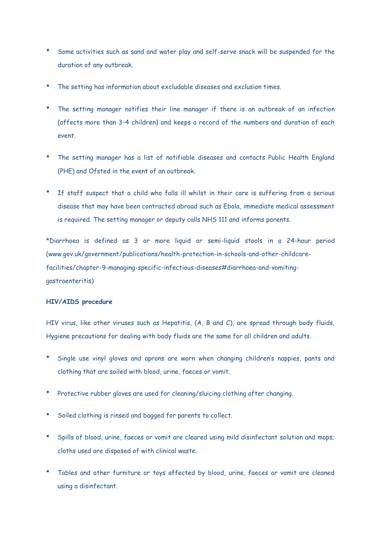- Some activities such as sand and water play and self-serve snack will be suspended for the duration of any outbreak.
- The setting has information about excludable diseases and exclusion times.
- The setting manager notifies their line manager if there is an outbreak of an infection (affects more than 3-4 children) and keeps a record of the numbers and duration of each event.
- The setting manager has a list of notifiable diseases and contacts Public Health England (PHE) and Ofsted in the event of an outbreak.
- If staff suspect that a child who falls ill whilst in their care is suffering from a serious disease that may have been contracted abroad such as Ebola, immediate medical assessment is required. The setting manager or deputy calls NHS 111 and informs parents.

\*Diarrhoea is defined as 3 or more liquid or semi-liquid stools in a 24-hour period (www.gov.uk/government/publications/health-protection-in-schools-and-other-childcarefacilities/chapter-9-managing-specific-infectious-diseases#diarrhoea-and-vomitinggastroenteritis)

### **HIV/AIDS procedure**

HIV virus, like other viruses such as Hepatitis, (A, B and C), are spread through body fluids. Hygiene precautions for dealing with body fluids are the same for all children and adults.

- Single use vinyl gloves and aprons are worn when changing children's nappies, pants and clothing that are soiled with blood, urine, faeces or vomit.
- Protective rubber gloves are used for cleaning/sluicing clothing after changing.
- Soiled clothing is rinsed and bagged for parents to collect.
- Spills of blood, urine, faeces or vomit are cleared using mild disinfectant solution and mops; cloths used are disposed of with clinical waste.
- Tables and other furniture or toys affected by blood, urine, faeces or vomit are cleaned using a disinfectant.